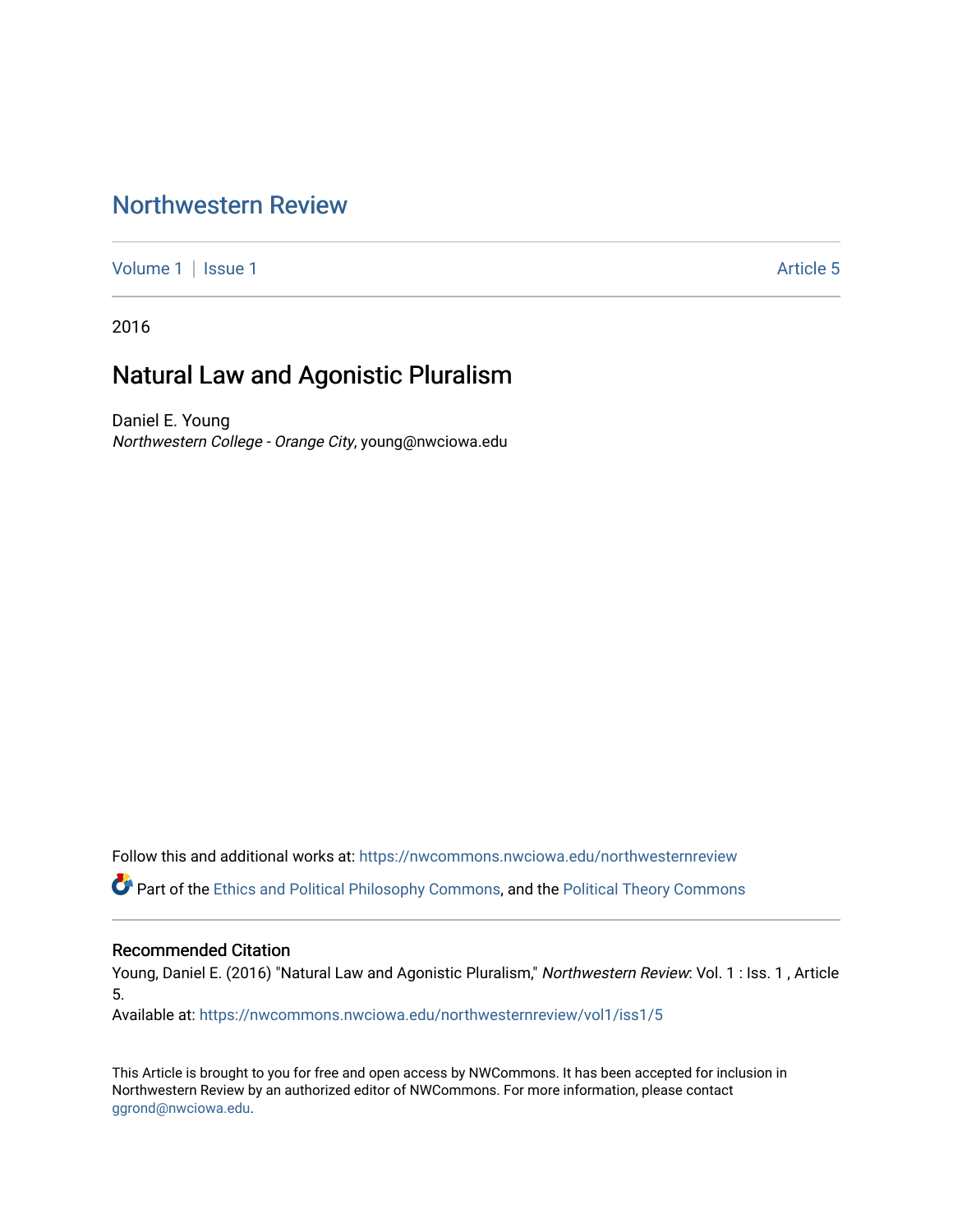## [Northwestern Review](https://nwcommons.nwciowa.edu/northwesternreview)

[Volume 1](https://nwcommons.nwciowa.edu/northwesternreview/vol1) | [Issue 1](https://nwcommons.nwciowa.edu/northwesternreview/vol1/iss1) Article 5

2016

# Natural Law and Agonistic Pluralism

Daniel E. Young Northwestern College - Orange City, young@nwciowa.edu

Follow this and additional works at: [https://nwcommons.nwciowa.edu/northwesternreview](https://nwcommons.nwciowa.edu/northwesternreview?utm_source=nwcommons.nwciowa.edu%2Fnorthwesternreview%2Fvol1%2Fiss1%2F5&utm_medium=PDF&utm_campaign=PDFCoverPages) 

Part of the [Ethics and Political Philosophy Commons,](http://network.bepress.com/hgg/discipline/529?utm_source=nwcommons.nwciowa.edu%2Fnorthwesternreview%2Fvol1%2Fiss1%2F5&utm_medium=PDF&utm_campaign=PDFCoverPages) and the [Political Theory Commons](http://network.bepress.com/hgg/discipline/391?utm_source=nwcommons.nwciowa.edu%2Fnorthwesternreview%2Fvol1%2Fiss1%2F5&utm_medium=PDF&utm_campaign=PDFCoverPages)

#### Recommended Citation

Young, Daniel E. (2016) "Natural Law and Agonistic Pluralism," Northwestern Review: Vol. 1 : Iss. 1, Article 5.

Available at: [https://nwcommons.nwciowa.edu/northwesternreview/vol1/iss1/5](https://nwcommons.nwciowa.edu/northwesternreview/vol1/iss1/5?utm_source=nwcommons.nwciowa.edu%2Fnorthwesternreview%2Fvol1%2Fiss1%2F5&utm_medium=PDF&utm_campaign=PDFCoverPages)

This Article is brought to you for free and open access by NWCommons. It has been accepted for inclusion in Northwestern Review by an authorized editor of NWCommons. For more information, please contact [ggrond@nwciowa.edu.](mailto:ggrond@nwciowa.edu)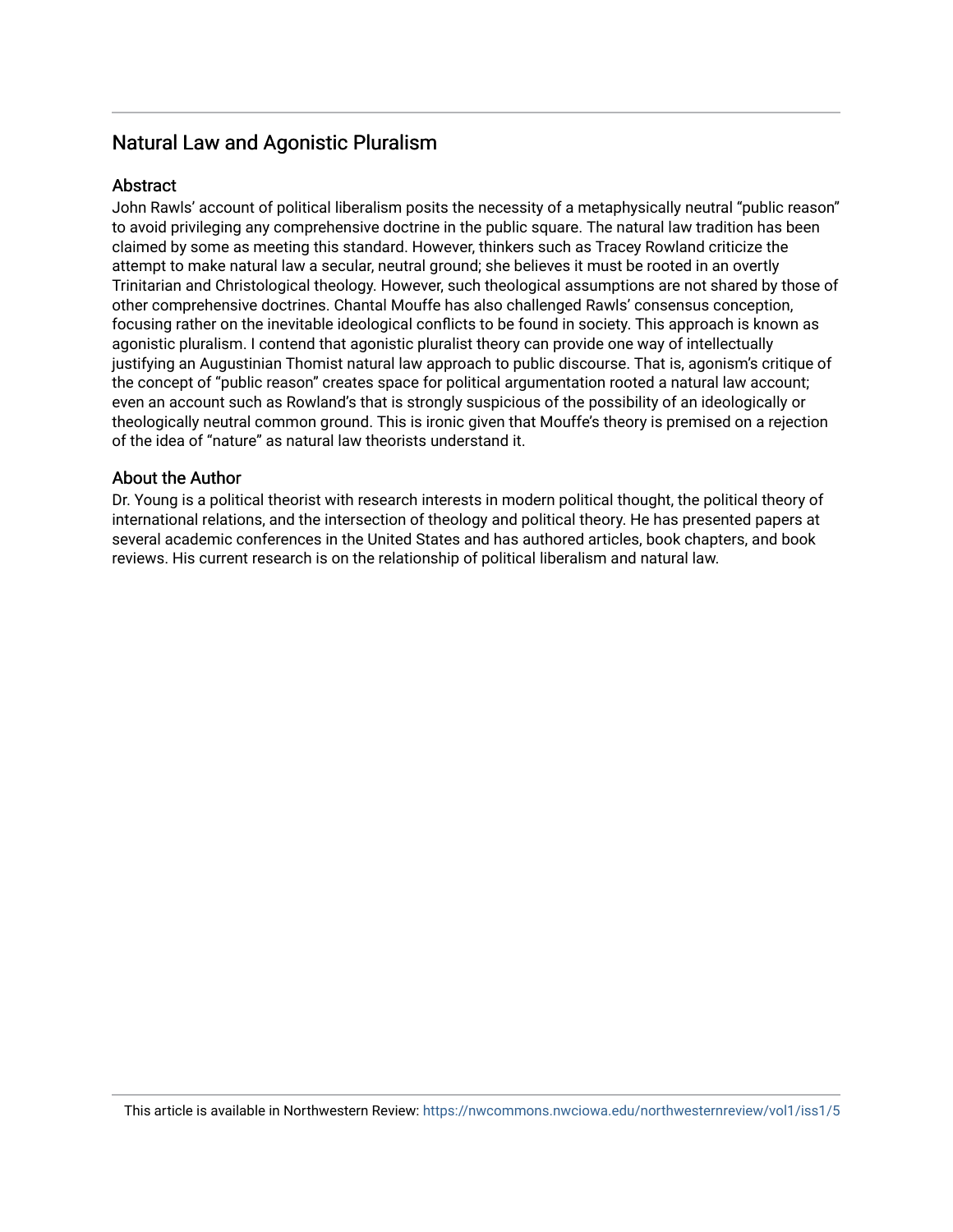## Natural Law and Agonistic Pluralism

## **Abstract**

John Rawls' account of political liberalism posits the necessity of a metaphysically neutral "public reason" to avoid privileging any comprehensive doctrine in the public square. The natural law tradition has been claimed by some as meeting this standard. However, thinkers such as Tracey Rowland criticize the attempt to make natural law a secular, neutral ground; she believes it must be rooted in an overtly Trinitarian and Christological theology. However, such theological assumptions are not shared by those of other comprehensive doctrines. Chantal Mouffe has also challenged Rawls' consensus conception, focusing rather on the inevitable ideological conflicts to be found in society. This approach is known as agonistic pluralism. I contend that agonistic pluralist theory can provide one way of intellectually justifying an Augustinian Thomist natural law approach to public discourse. That is, agonism's critique of the concept of "public reason" creates space for political argumentation rooted a natural law account; even an account such as Rowland's that is strongly suspicious of the possibility of an ideologically or theologically neutral common ground. This is ironic given that Mouffe's theory is premised on a rejection of the idea of "nature" as natural law theorists understand it.

## About the Author

Dr. Young is a political theorist with research interests in modern political thought, the political theory of international relations, and the intersection of theology and political theory. He has presented papers at several academic conferences in the United States and has authored articles, book chapters, and book reviews. His current research is on the relationship of political liberalism and natural law.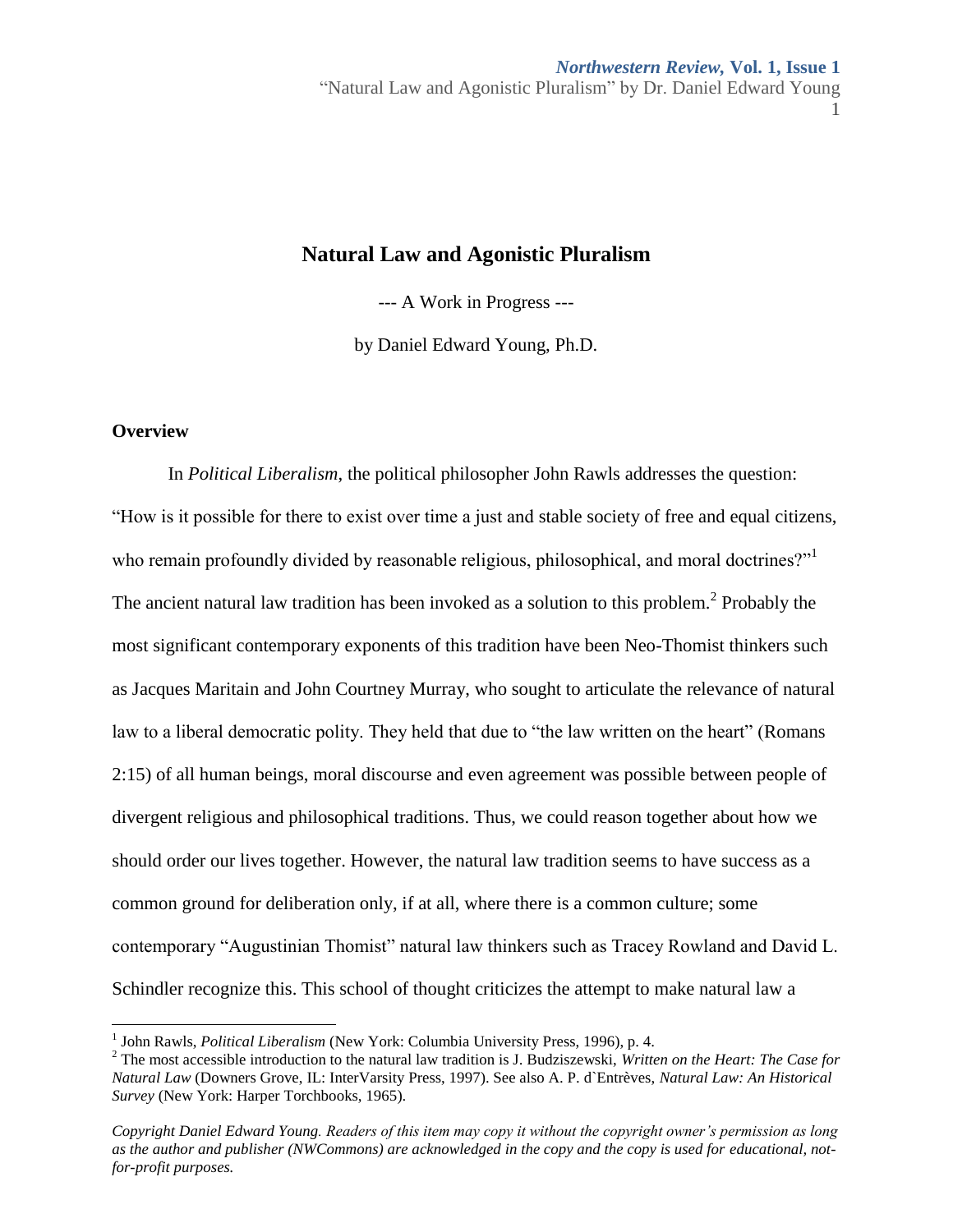## **Natural Law and Agonistic Pluralism**

--- A Work in Progress ---

by Daniel Edward Young, Ph.D.

## **Overview**

 $\overline{a}$ 

In *Political Liberalism*, the political philosopher John Rawls addresses the question: "How is it possible for there to exist over time a just and stable society of free and equal citizens, who remain profoundly divided by reasonable religious, philosophical, and moral doctrines?" The ancient natural law tradition has been invoked as a solution to this problem.<sup>2</sup> Probably the most significant contemporary exponents of this tradition have been Neo-Thomist thinkers such as Jacques Maritain and John Courtney Murray, who sought to articulate the relevance of natural law to a liberal democratic polity. They held that due to "the law written on the heart" (Romans 2:15) of all human beings, moral discourse and even agreement was possible between people of divergent religious and philosophical traditions. Thus, we could reason together about how we should order our lives together. However, the natural law tradition seems to have success as a common ground for deliberation only, if at all, where there is a common culture; some contemporary "Augustinian Thomist" natural law thinkers such as Tracey Rowland and David L. Schindler recognize this. This school of thought criticizes the attempt to make natural law a

<sup>&</sup>lt;sup>1</sup> John Rawls, *Political Liberalism* (New York: Columbia University Press, 1996), p. 4.

<sup>2</sup> The most accessible introduction to the natural law tradition is J. Budziszewski, *Written on the Heart: The Case for Natural Law* (Downers Grove, IL: InterVarsity Press, 1997). See also A. P. d`Entrèves, *Natural Law: An Historical Survey* (New York: Harper Torchbooks, 1965).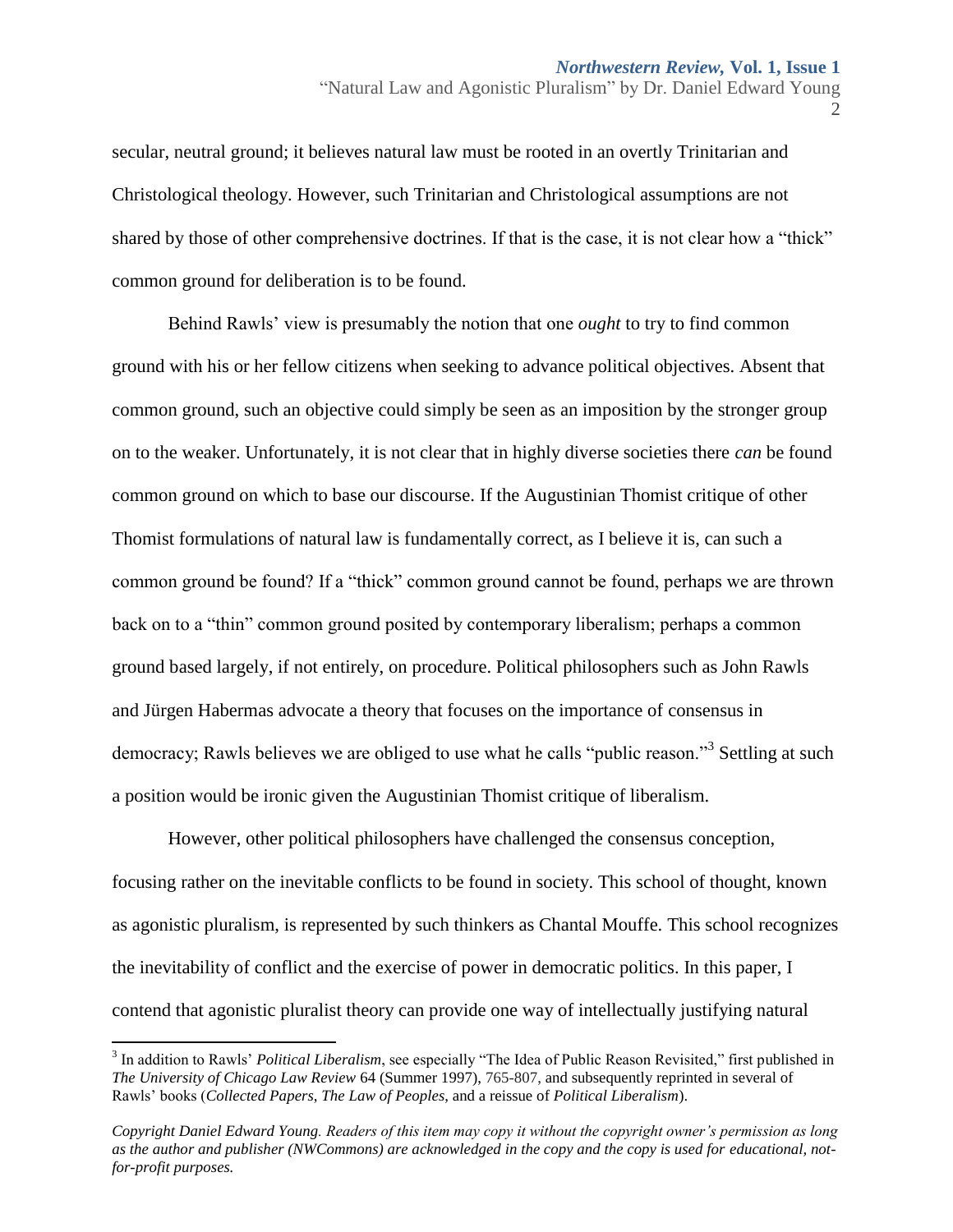secular, neutral ground; it believes natural law must be rooted in an overtly Trinitarian and Christological theology. However, such Trinitarian and Christological assumptions are not shared by those of other comprehensive doctrines. If that is the case, it is not clear how a "thick" common ground for deliberation is to be found.

Behind Rawls' view is presumably the notion that one *ought* to try to find common ground with his or her fellow citizens when seeking to advance political objectives. Absent that common ground, such an objective could simply be seen as an imposition by the stronger group on to the weaker. Unfortunately, it is not clear that in highly diverse societies there *can* be found common ground on which to base our discourse. If the Augustinian Thomist critique of other Thomist formulations of natural law is fundamentally correct, as I believe it is, can such a common ground be found? If a "thick" common ground cannot be found, perhaps we are thrown back on to a "thin" common ground posited by contemporary liberalism; perhaps a common ground based largely, if not entirely, on procedure. Political philosophers such as John Rawls and Jürgen Habermas advocate a theory that focuses on the importance of consensus in democracy; Rawls believes we are obliged to use what he calls "public reason."<sup>3</sup> Settling at such a position would be ironic given the Augustinian Thomist critique of liberalism.

However, other political philosophers have challenged the consensus conception, focusing rather on the inevitable conflicts to be found in society. This school of thought, known as agonistic pluralism, is represented by such thinkers as Chantal Mouffe. This school recognizes the inevitability of conflict and the exercise of power in democratic politics. In this paper, I contend that agonistic pluralist theory can provide one way of intellectually justifying natural

 $\overline{\phantom{a}}$ 

<sup>&</sup>lt;sup>3</sup> In addition to Rawls' *Political Liberalism*, see especially "The Idea of Public Reason Revisited," first published in *The University of Chicago Law Review* 64 (Summer 1997), 765-807, and subsequently reprinted in several of Rawls' books (*Collected Papers*, *The Law of Peoples*, and a reissue of *Political Liberalism*).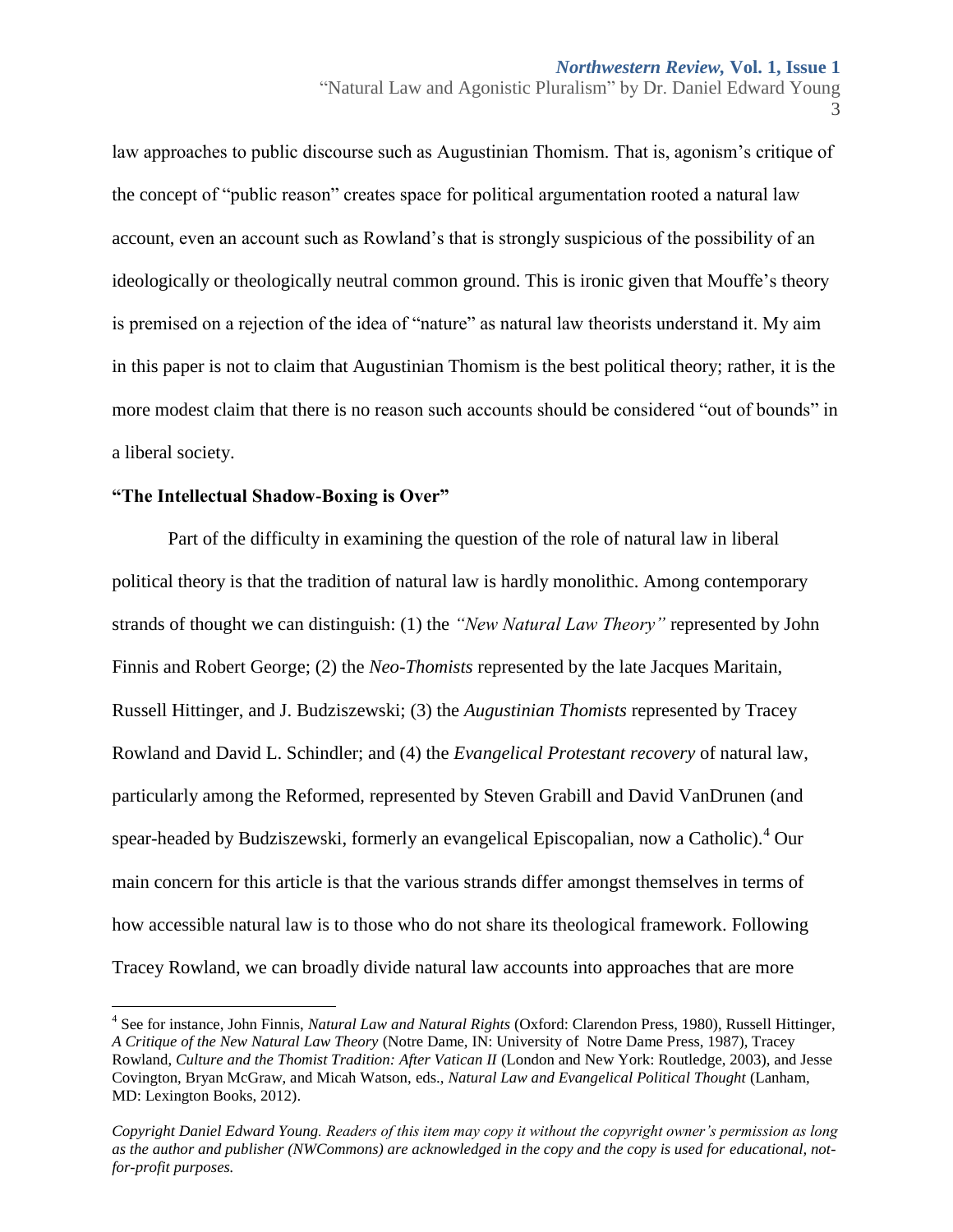3

law approaches to public discourse such as Augustinian Thomism. That is, agonism's critique of the concept of "public reason" creates space for political argumentation rooted a natural law account, even an account such as Rowland's that is strongly suspicious of the possibility of an ideologically or theologically neutral common ground. This is ironic given that Mouffe's theory is premised on a rejection of the idea of "nature" as natural law theorists understand it. My aim in this paper is not to claim that Augustinian Thomism is the best political theory; rather, it is the more modest claim that there is no reason such accounts should be considered "out of bounds" in a liberal society.

## **"The Intellectual Shadow-Boxing is Over"**

Part of the difficulty in examining the question of the role of natural law in liberal political theory is that the tradition of natural law is hardly monolithic. Among contemporary strands of thought we can distinguish: (1) the *"New Natural Law Theory"* represented by John Finnis and Robert George; (2) the *Neo-Thomists* represented by the late Jacques Maritain, Russell Hittinger, and J. Budziszewski; (3) the *Augustinian Thomists* represented by Tracey Rowland and David L. Schindler; and (4) the *Evangelical Protestant recovery* of natural law, particularly among the Reformed, represented by Steven Grabill and David VanDrunen (and spear-headed by Budziszewski, formerly an evangelical Episcopalian, now a Catholic).<sup>4</sup> Our main concern for this article is that the various strands differ amongst themselves in terms of how accessible natural law is to those who do not share its theological framework. Following Tracey Rowland, we can broadly divide natural law accounts into approaches that are more

 4 See for instance, John Finnis, *Natural Law and Natural Rights* (Oxford: Clarendon Press, 1980), Russell Hittinger, *A Critique of the New Natural Law Theory* (Notre Dame, IN: University of Notre Dame Press, 1987), Tracey Rowland, *Culture and the Thomist Tradition: After Vatican II* (London and New York: Routledge, 2003), and Jesse Covington, Bryan McGraw, and Micah Watson, eds., *Natural Law and Evangelical Political Thought* (Lanham, MD: Lexington Books, 2012).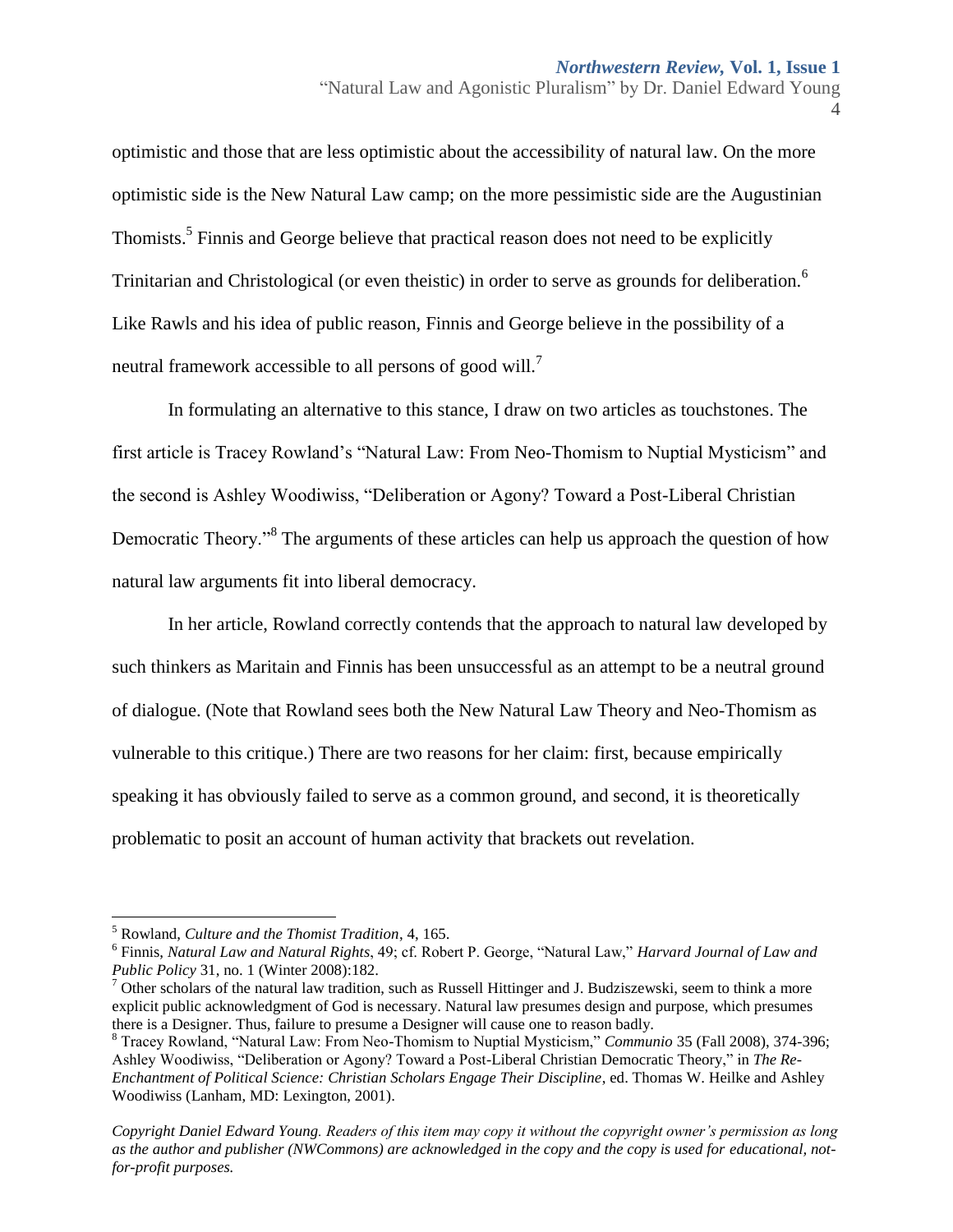optimistic and those that are less optimistic about the accessibility of natural law. On the more optimistic side is the New Natural Law camp; on the more pessimistic side are the Augustinian Thomists.<sup>5</sup> Finnis and George believe that practical reason does not need to be explicitly Trinitarian and Christological (or even theistic) in order to serve as grounds for deliberation.<sup>6</sup> Like Rawls and his idea of public reason, Finnis and George believe in the possibility of a neutral framework accessible to all persons of good will.<sup>7</sup>

In formulating an alternative to this stance, I draw on two articles as touchstones. The first article is Tracey Rowland's "Natural Law: From Neo-Thomism to Nuptial Mysticism" and the second is Ashley Woodiwiss, "Deliberation or Agony? Toward a Post-Liberal Christian Democratic Theory.<sup>38</sup> The arguments of these articles can help us approach the question of how natural law arguments fit into liberal democracy.

In her article, Rowland correctly contends that the approach to natural law developed by such thinkers as Maritain and Finnis has been unsuccessful as an attempt to be a neutral ground of dialogue. (Note that Rowland sees both the New Natural Law Theory and Neo-Thomism as vulnerable to this critique.) There are two reasons for her claim: first, because empirically speaking it has obviously failed to serve as a common ground, and second, it is theoretically problematic to posit an account of human activity that brackets out revelation.

<sup>4</sup>

 $\overline{a}$ <sup>5</sup> Rowland, *Culture and the Thomist Tradition*, 4, 165.

<sup>6</sup> Finnis, *Natural Law and Natural Rights*, 49; cf. Robert P. George, "Natural Law," *Harvard Journal of Law and Public Policy* 31, no. 1 (Winter 2008):182.

 $<sup>7</sup>$  Other scholars of the natural law tradition, such as Russell Hittinger and J. Budziszewski, seem to think a more</sup> explicit public acknowledgment of God is necessary. Natural law presumes design and purpose, which presumes there is a Designer. Thus, failure to presume a Designer will cause one to reason badly.

<sup>8</sup> Tracey Rowland, "Natural Law: From Neo-Thomism to Nuptial Mysticism," *Communio* 35 (Fall 2008), 374-396; Ashley Woodiwiss, "Deliberation or Agony? Toward a Post-Liberal Christian Democratic Theory," in *The Re-Enchantment of Political Science: Christian Scholars Engage Their Discipline*, ed. Thomas W. Heilke and Ashley Woodiwiss (Lanham, MD: Lexington, 2001).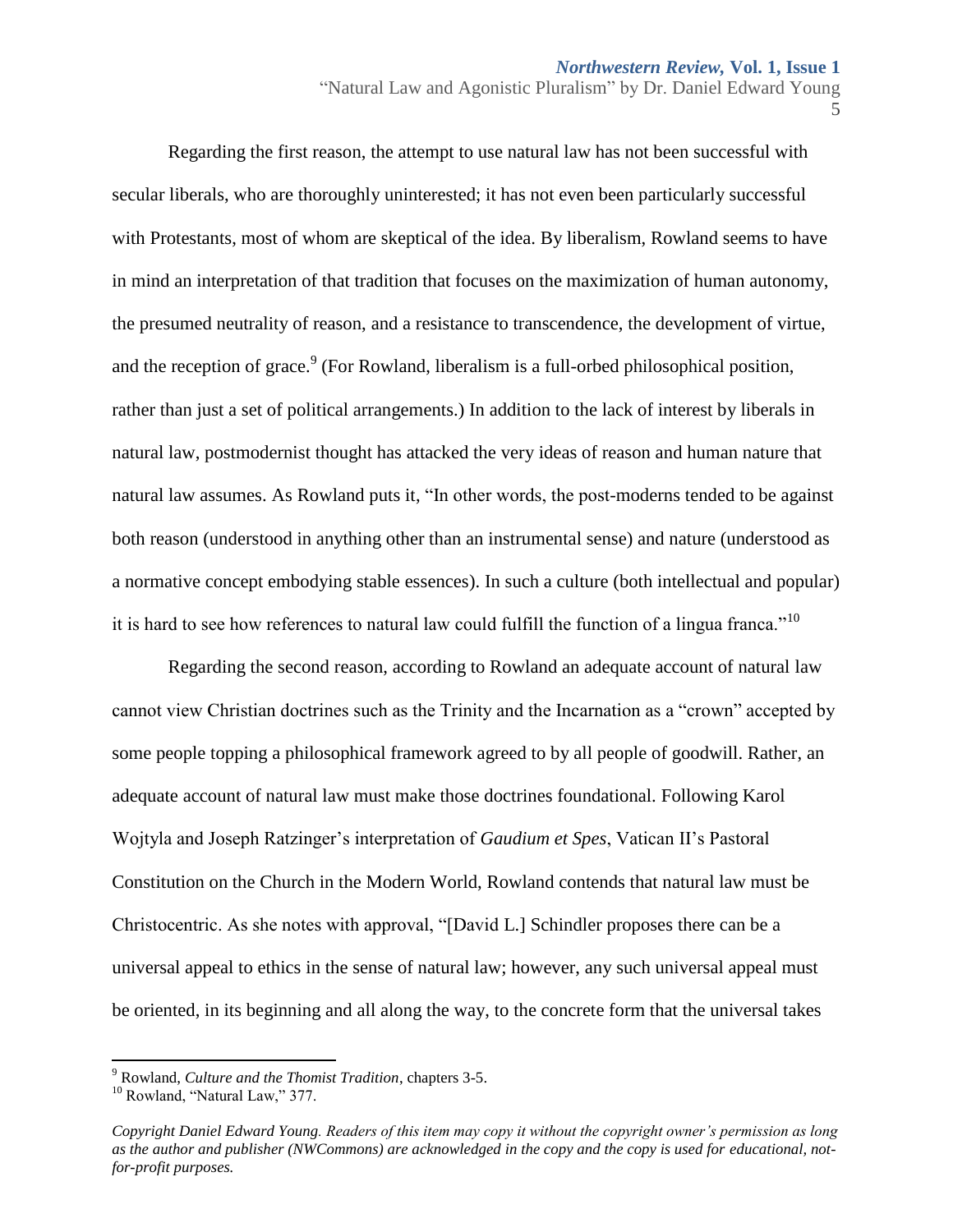Regarding the first reason, the attempt to use natural law has not been successful with secular liberals, who are thoroughly uninterested; it has not even been particularly successful with Protestants, most of whom are skeptical of the idea. By liberalism, Rowland seems to have in mind an interpretation of that tradition that focuses on the maximization of human autonomy, the presumed neutrality of reason, and a resistance to transcendence, the development of virtue, and the reception of grace. $9$  (For Rowland, liberalism is a full-orbed philosophical position, rather than just a set of political arrangements.) In addition to the lack of interest by liberals in natural law, postmodernist thought has attacked the very ideas of reason and human nature that natural law assumes. As Rowland puts it, "In other words, the post-moderns tended to be against both reason (understood in anything other than an instrumental sense) and nature (understood as a normative concept embodying stable essences). In such a culture (both intellectual and popular) it is hard to see how references to natural law could fulfill the function of a lingua franca."<sup>10</sup>

Regarding the second reason, according to Rowland an adequate account of natural law cannot view Christian doctrines such as the Trinity and the Incarnation as a "crown" accepted by some people topping a philosophical framework agreed to by all people of goodwill. Rather, an adequate account of natural law must make those doctrines foundational. Following Karol Wojtyla and Joseph Ratzinger's interpretation of *Gaudium et Spes*, Vatican II's Pastoral Constitution on the Church in the Modern World, Rowland contends that natural law must be Christocentric. As she notes with approval, "[David L.] Schindler proposes there can be a universal appeal to ethics in the sense of natural law; however, any such universal appeal must be oriented, in its beginning and all along the way, to the concrete form that the universal takes

l

<sup>9</sup> Rowland, *Culture and the Thomist Tradition*, chapters 3-5.

<sup>&</sup>lt;sup>10</sup> Rowland, "Natural Law," 377.

*Copyright Daniel Edward Young. Readers of this item may copy it without the copyright owner's permission as long as the author and publisher (NWCommons) are acknowledged in the copy and the copy is used for educational, notfor-profit purposes.*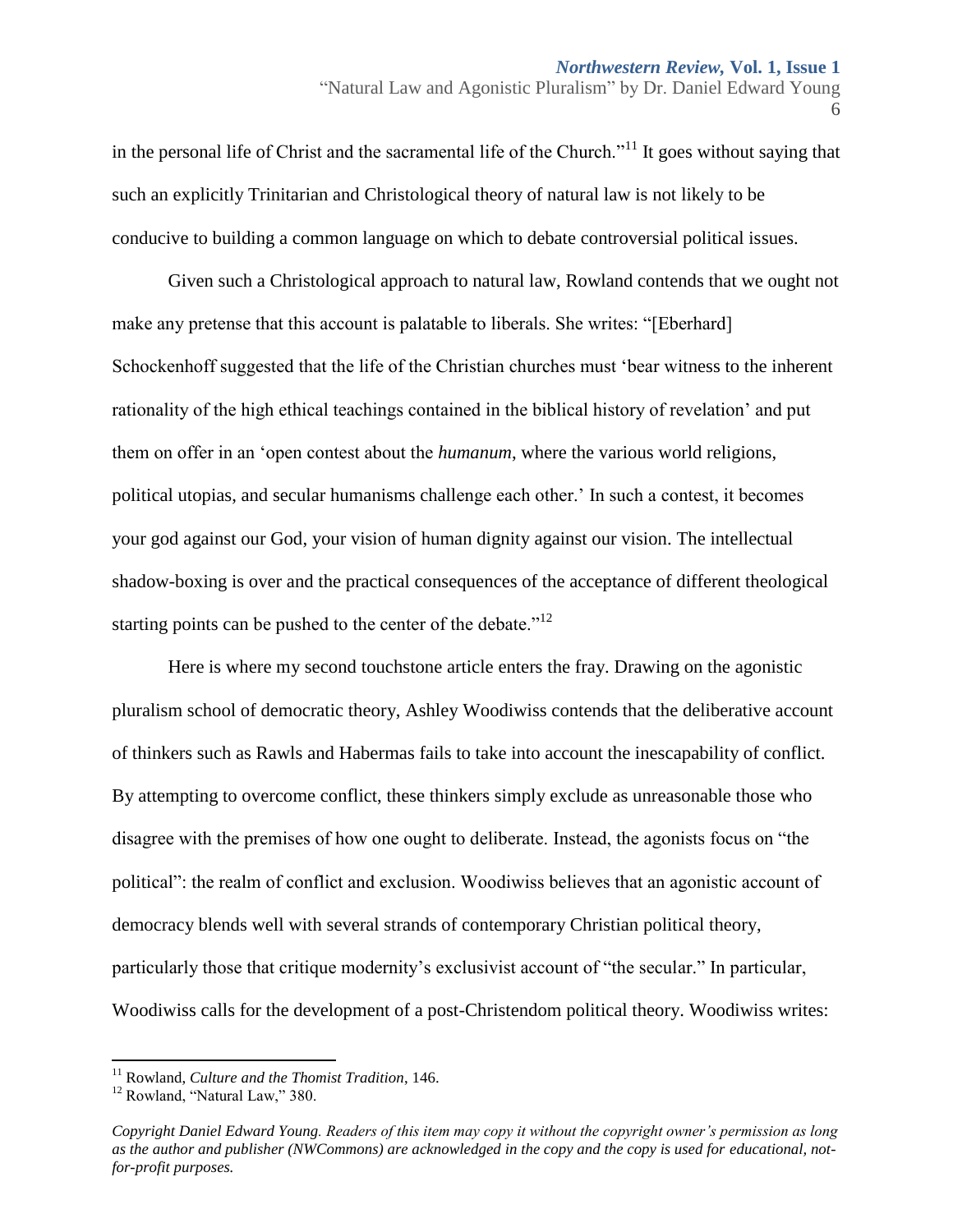in the personal life of Christ and the sacramental life of the Church.<sup> $11$ </sup> It goes without saying that such an explicitly Trinitarian and Christological theory of natural law is not likely to be conducive to building a common language on which to debate controversial political issues.

Given such a Christological approach to natural law, Rowland contends that we ought not make any pretense that this account is palatable to liberals. She writes: "[Eberhard] Schockenhoff suggested that the life of the Christian churches must 'bear witness to the inherent rationality of the high ethical teachings contained in the biblical history of revelation' and put them on offer in an 'open contest about the *humanum*, where the various world religions, political utopias, and secular humanisms challenge each other.' In such a contest, it becomes your god against our God, your vision of human dignity against our vision. The intellectual shadow-boxing is over and the practical consequences of the acceptance of different theological starting points can be pushed to the center of the debate. $12$ 

Here is where my second touchstone article enters the fray. Drawing on the agonistic pluralism school of democratic theory, Ashley Woodiwiss contends that the deliberative account of thinkers such as Rawls and Habermas fails to take into account the inescapability of conflict. By attempting to overcome conflict, these thinkers simply exclude as unreasonable those who disagree with the premises of how one ought to deliberate. Instead, the agonists focus on "the political": the realm of conflict and exclusion. Woodiwiss believes that an agonistic account of democracy blends well with several strands of contemporary Christian political theory, particularly those that critique modernity's exclusivist account of "the secular." In particular, Woodiwiss calls for the development of a post-Christendom political theory. Woodiwiss writes:

l

<sup>11</sup> Rowland, *Culture and the Thomist Tradition*, 146.

<sup>12</sup> Rowland, "Natural Law," 380.

*Copyright Daniel Edward Young. Readers of this item may copy it without the copyright owner's permission as long as the author and publisher (NWCommons) are acknowledged in the copy and the copy is used for educational, notfor-profit purposes.*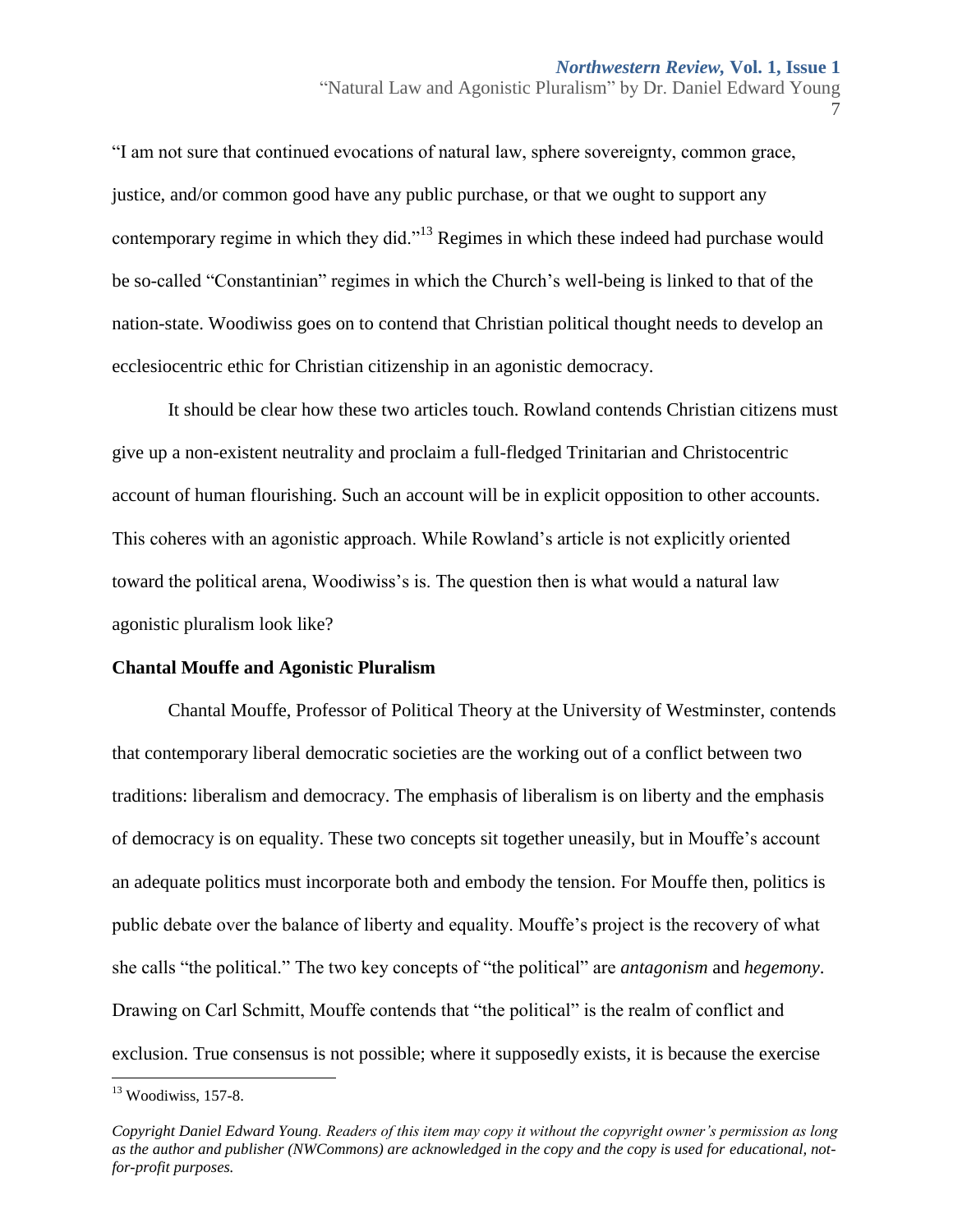7

"I am not sure that continued evocations of natural law, sphere sovereignty, common grace, justice, and/or common good have any public purchase, or that we ought to support any contemporary regime in which they did."<sup>13</sup> Regimes in which these indeed had purchase would be so-called "Constantinian" regimes in which the Church's well-being is linked to that of the nation-state. Woodiwiss goes on to contend that Christian political thought needs to develop an ecclesiocentric ethic for Christian citizenship in an agonistic democracy.

It should be clear how these two articles touch. Rowland contends Christian citizens must give up a non-existent neutrality and proclaim a full-fledged Trinitarian and Christocentric account of human flourishing. Such an account will be in explicit opposition to other accounts. This coheres with an agonistic approach. While Rowland's article is not explicitly oriented toward the political arena, Woodiwiss's is. The question then is what would a natural law agonistic pluralism look like?

## **Chantal Mouffe and Agonistic Pluralism**

Chantal Mouffe, Professor of Political Theory at the University of Westminster, contends that contemporary liberal democratic societies are the working out of a conflict between two traditions: liberalism and democracy. The emphasis of liberalism is on liberty and the emphasis of democracy is on equality. These two concepts sit together uneasily, but in Mouffe's account an adequate politics must incorporate both and embody the tension. For Mouffe then, politics is public debate over the balance of liberty and equality. Mouffe's project is the recovery of what she calls "the political." The two key concepts of "the political" are *antagonism* and *hegemony*. Drawing on Carl Schmitt, Mouffe contends that "the political" is the realm of conflict and exclusion. True consensus is not possible; where it supposedly exists, it is because the exercise

 $\overline{a}$  $13$  Woodiwiss, 157-8.

*Copyright Daniel Edward Young. Readers of this item may copy it without the copyright owner's permission as long as the author and publisher (NWCommons) are acknowledged in the copy and the copy is used for educational, notfor-profit purposes.*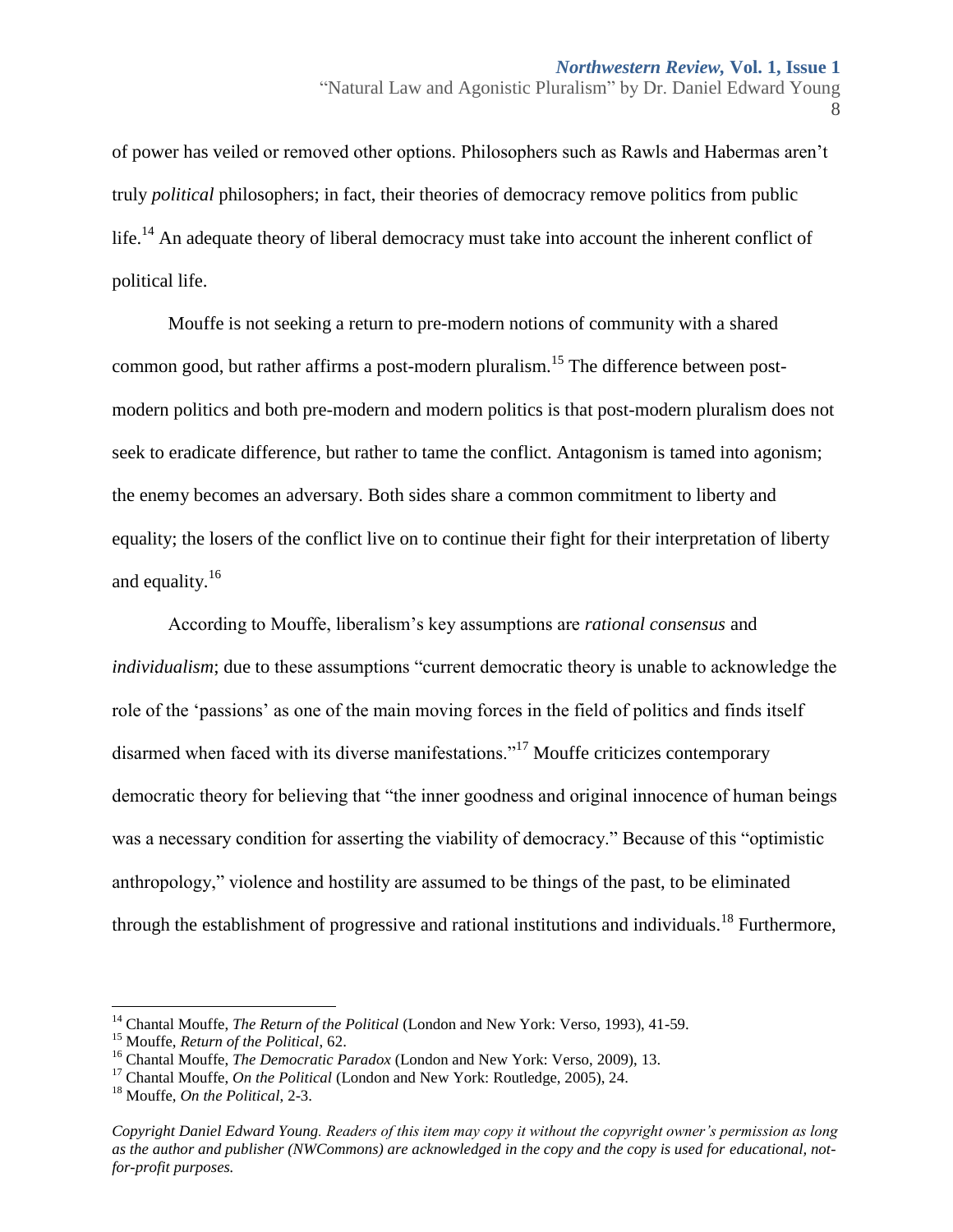of power has veiled or removed other options. Philosophers such as Rawls and Habermas aren't truly *political* philosophers; in fact, their theories of democracy remove politics from public life.<sup>14</sup> An adequate theory of liberal democracy must take into account the inherent conflict of political life.

Mouffe is not seeking a return to pre-modern notions of community with a shared common good, but rather affirms a post-modern pluralism.<sup>15</sup> The difference between postmodern politics and both pre-modern and modern politics is that post-modern pluralism does not seek to eradicate difference, but rather to tame the conflict. Antagonism is tamed into agonism; the enemy becomes an adversary. Both sides share a common commitment to liberty and equality; the losers of the conflict live on to continue their fight for their interpretation of liberty and equality.<sup>16</sup>

According to Mouffe, liberalism's key assumptions are *rational consensus* and *individualism*; due to these assumptions "current democratic theory is unable to acknowledge the role of the 'passions' as one of the main moving forces in the field of politics and finds itself disarmed when faced with its diverse manifestations."<sup>17</sup> Mouffe criticizes contemporary democratic theory for believing that "the inner goodness and original innocence of human beings was a necessary condition for asserting the viability of democracy." Because of this "optimistic anthropology," violence and hostility are assumed to be things of the past, to be eliminated through the establishment of progressive and rational institutions and individuals.<sup>18</sup> Furthermore,

 $\overline{\phantom{a}}$ 

<sup>&</sup>quot;Natural Law and Agonistic Pluralism" by Dr. Daniel Edward Young 8

<sup>&</sup>lt;sup>14</sup> Chantal Mouffe, *The Return of the Political* (London and New York: Verso, 1993), 41-59.

<sup>15</sup> Mouffe, *Return of the Political*, 62.

<sup>&</sup>lt;sup>16</sup> Chantal Mouffe, *The Democratic Paradox* (London and New York: Verso, 2009), 13.

<sup>&</sup>lt;sup>17</sup> Chantal Mouffe, *On the Political* (London and New York: Routledge, 2005), 24.

<sup>18</sup> Mouffe, *On the Political*, 2-3.

*Copyright Daniel Edward Young. Readers of this item may copy it without the copyright owner's permission as long as the author and publisher (NWCommons) are acknowledged in the copy and the copy is used for educational, notfor-profit purposes.*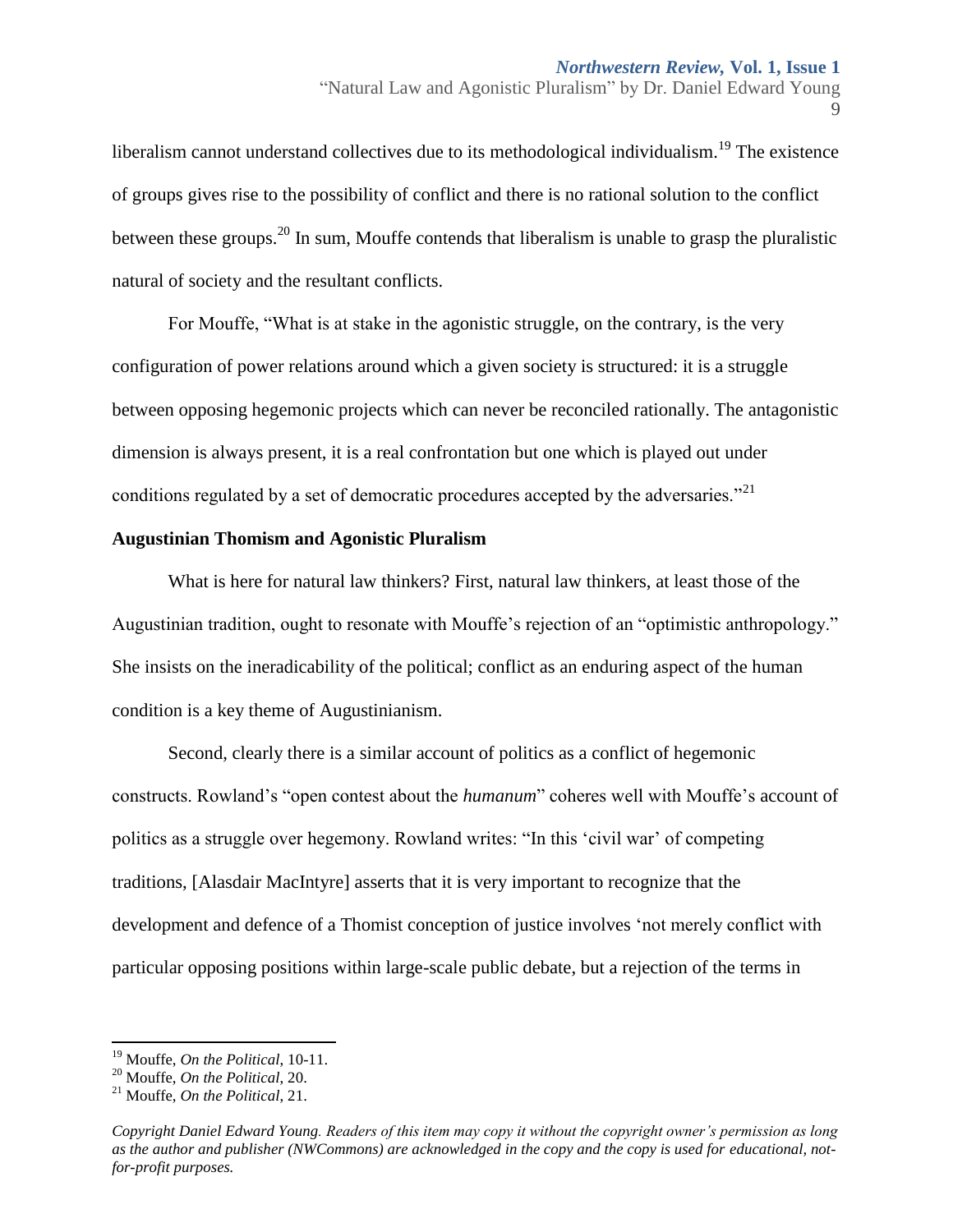liberalism cannot understand collectives due to its methodological individualism.<sup>19</sup> The existence of groups gives rise to the possibility of conflict and there is no rational solution to the conflict between these groups.<sup>20</sup> In sum, Mouffe contends that liberalism is unable to grasp the pluralistic natural of society and the resultant conflicts.

For Mouffe, "What is at stake in the agonistic struggle, on the contrary, is the very configuration of power relations around which a given society is structured: it is a struggle between opposing hegemonic projects which can never be reconciled rationally. The antagonistic dimension is always present, it is a real confrontation but one which is played out under conditions regulated by a set of democratic procedures accepted by the adversaries.<sup>"21</sup>

### **Augustinian Thomism and Agonistic Pluralism**

What is here for natural law thinkers? First, natural law thinkers, at least those of the Augustinian tradition, ought to resonate with Mouffe's rejection of an "optimistic anthropology." She insists on the ineradicability of the political; conflict as an enduring aspect of the human condition is a key theme of Augustinianism.

Second, clearly there is a similar account of politics as a conflict of hegemonic constructs. Rowland's "open contest about the *humanum*" coheres well with Mouffe's account of politics as a struggle over hegemony. Rowland writes: "In this 'civil war' of competing traditions, [Alasdair MacIntyre] asserts that it is very important to recognize that the development and defence of a Thomist conception of justice involves 'not merely conflict with particular opposing positions within large-scale public debate, but a rejection of the terms in

 $\overline{\phantom{a}}$ 

<sup>19</sup> Mouffe, *On the Political*, 10-11.

<sup>20</sup> Mouffe, *On the Political*, 20.

<sup>21</sup> Mouffe, *On the Political*, 21.

*Copyright Daniel Edward Young. Readers of this item may copy it without the copyright owner's permission as long as the author and publisher (NWCommons) are acknowledged in the copy and the copy is used for educational, notfor-profit purposes.*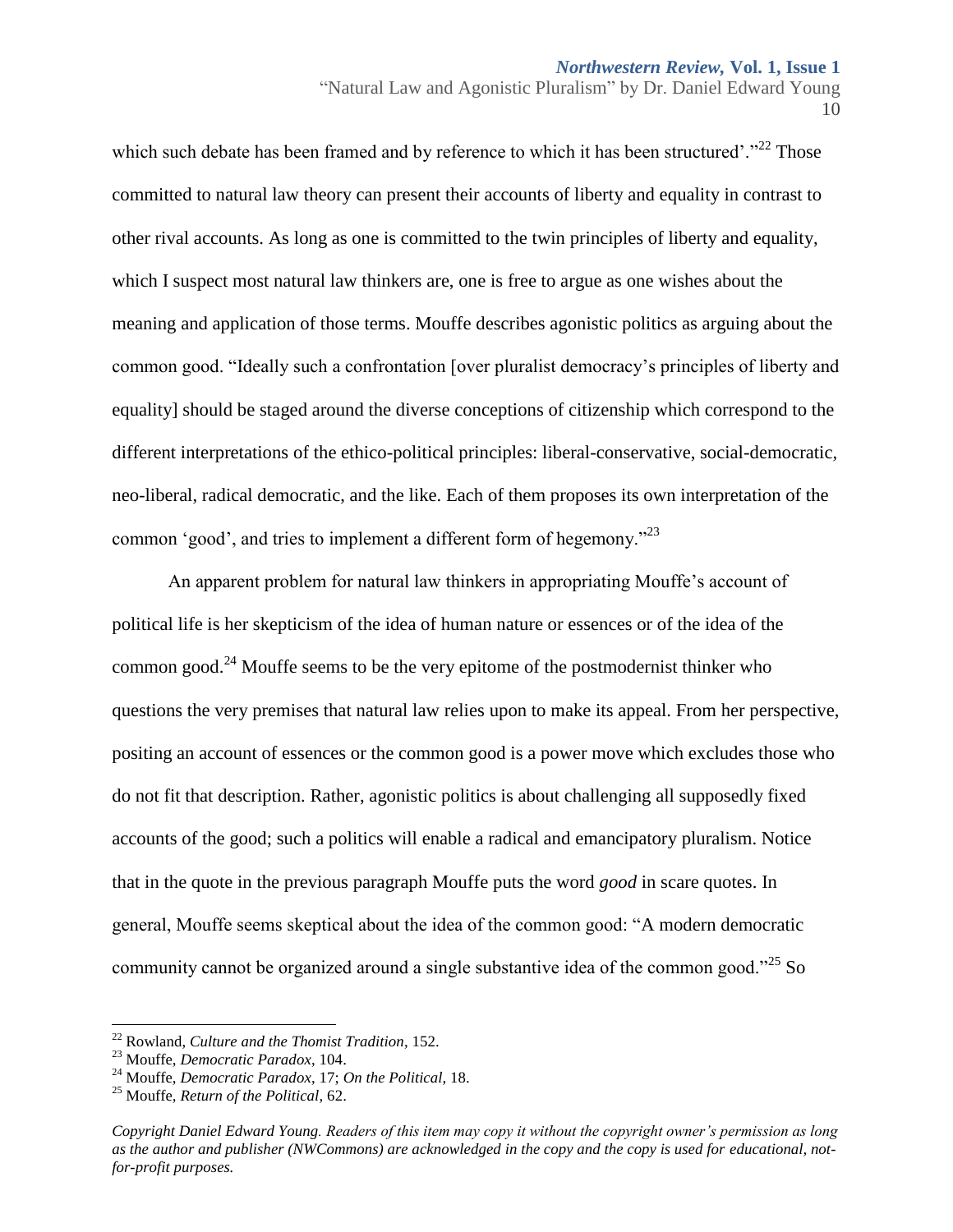"Natural Law and Agonistic Pluralism" by Dr. Daniel Edward Young 10

which such debate has been framed and by reference to which it has been structured'."<sup>22</sup> Those committed to natural law theory can present their accounts of liberty and equality in contrast to other rival accounts. As long as one is committed to the twin principles of liberty and equality, which I suspect most natural law thinkers are, one is free to argue as one wishes about the meaning and application of those terms. Mouffe describes agonistic politics as arguing about the common good. "Ideally such a confrontation [over pluralist democracy's principles of liberty and equality] should be staged around the diverse conceptions of citizenship which correspond to the different interpretations of the ethico-political principles: liberal-conservative, social-democratic, neo-liberal, radical democratic, and the like. Each of them proposes its own interpretation of the common 'good', and tries to implement a different form of hegemony."<sup>23</sup>

An apparent problem for natural law thinkers in appropriating Mouffe's account of political life is her skepticism of the idea of human nature or essences or of the idea of the common good.<sup>24</sup> Mouffe seems to be the very epitome of the postmodernist thinker who questions the very premises that natural law relies upon to make its appeal. From her perspective, positing an account of essences or the common good is a power move which excludes those who do not fit that description. Rather, agonistic politics is about challenging all supposedly fixed accounts of the good; such a politics will enable a radical and emancipatory pluralism. Notice that in the quote in the previous paragraph Mouffe puts the word *good* in scare quotes. In general, Mouffe seems skeptical about the idea of the common good: "A modern democratic community cannot be organized around a single substantive idea of the common good."<sup>25</sup> So

 $\overline{a}$ 

<sup>22</sup> Rowland, *Culture and the Thomist Tradition*, 152.

<sup>23</sup> Mouffe, *Democratic Paradox*, 104.

<sup>24</sup> Mouffe, *Democratic Paradox*, 17; *On the Political*, 18.

<sup>25</sup> Mouffe, *Return of the Political*, 62.

*Copyright Daniel Edward Young. Readers of this item may copy it without the copyright owner's permission as long as the author and publisher (NWCommons) are acknowledged in the copy and the copy is used for educational, notfor-profit purposes.*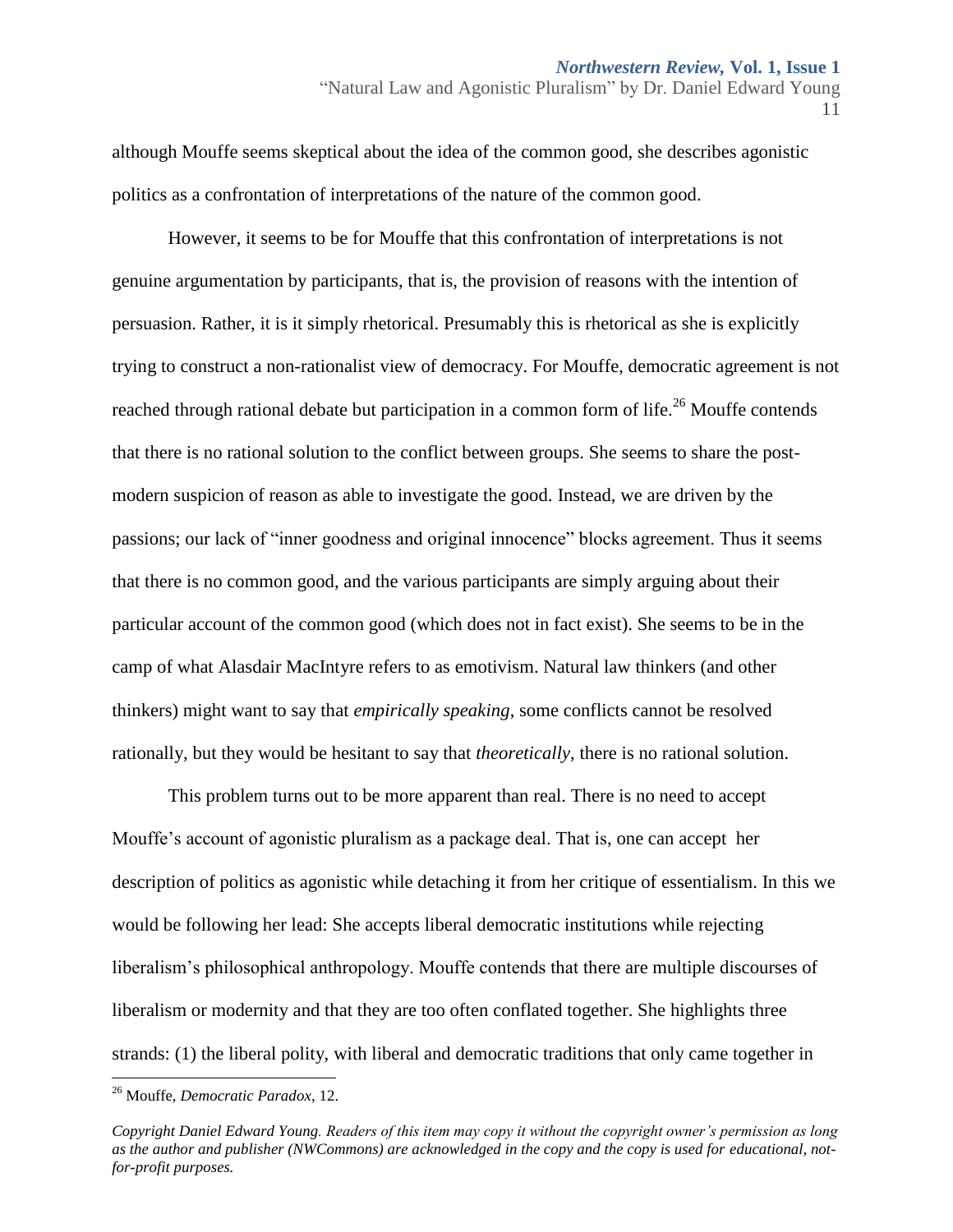"Natural Law and Agonistic Pluralism" by Dr. Daniel Edward Young 11

although Mouffe seems skeptical about the idea of the common good, she describes agonistic politics as a confrontation of interpretations of the nature of the common good.

However, it seems to be for Mouffe that this confrontation of interpretations is not genuine argumentation by participants, that is, the provision of reasons with the intention of persuasion. Rather, it is it simply rhetorical. Presumably this is rhetorical as she is explicitly trying to construct a non-rationalist view of democracy. For Mouffe, democratic agreement is not reached through rational debate but participation in a common form of life.<sup>26</sup> Mouffe contends that there is no rational solution to the conflict between groups. She seems to share the postmodern suspicion of reason as able to investigate the good. Instead, we are driven by the passions; our lack of "inner goodness and original innocence" blocks agreement. Thus it seems that there is no common good, and the various participants are simply arguing about their particular account of the common good (which does not in fact exist). She seems to be in the camp of what Alasdair MacIntyre refers to as emotivism. Natural law thinkers (and other thinkers) might want to say that *empirically speaking*, some conflicts cannot be resolved rationally, but they would be hesitant to say that *theoretically*, there is no rational solution.

This problem turns out to be more apparent than real. There is no need to accept Mouffe's account of agonistic pluralism as a package deal. That is, one can accept her description of politics as agonistic while detaching it from her critique of essentialism. In this we would be following her lead: She accepts liberal democratic institutions while rejecting liberalism's philosophical anthropology. Mouffe contends that there are multiple discourses of liberalism or modernity and that they are too often conflated together. She highlights three strands: (1) the liberal polity, with liberal and democratic traditions that only came together in

 $\overline{a}$ 

<sup>26</sup> Mouffe, *Democratic Paradox*, 12.

*Copyright Daniel Edward Young. Readers of this item may copy it without the copyright owner's permission as long as the author and publisher (NWCommons) are acknowledged in the copy and the copy is used for educational, notfor-profit purposes.*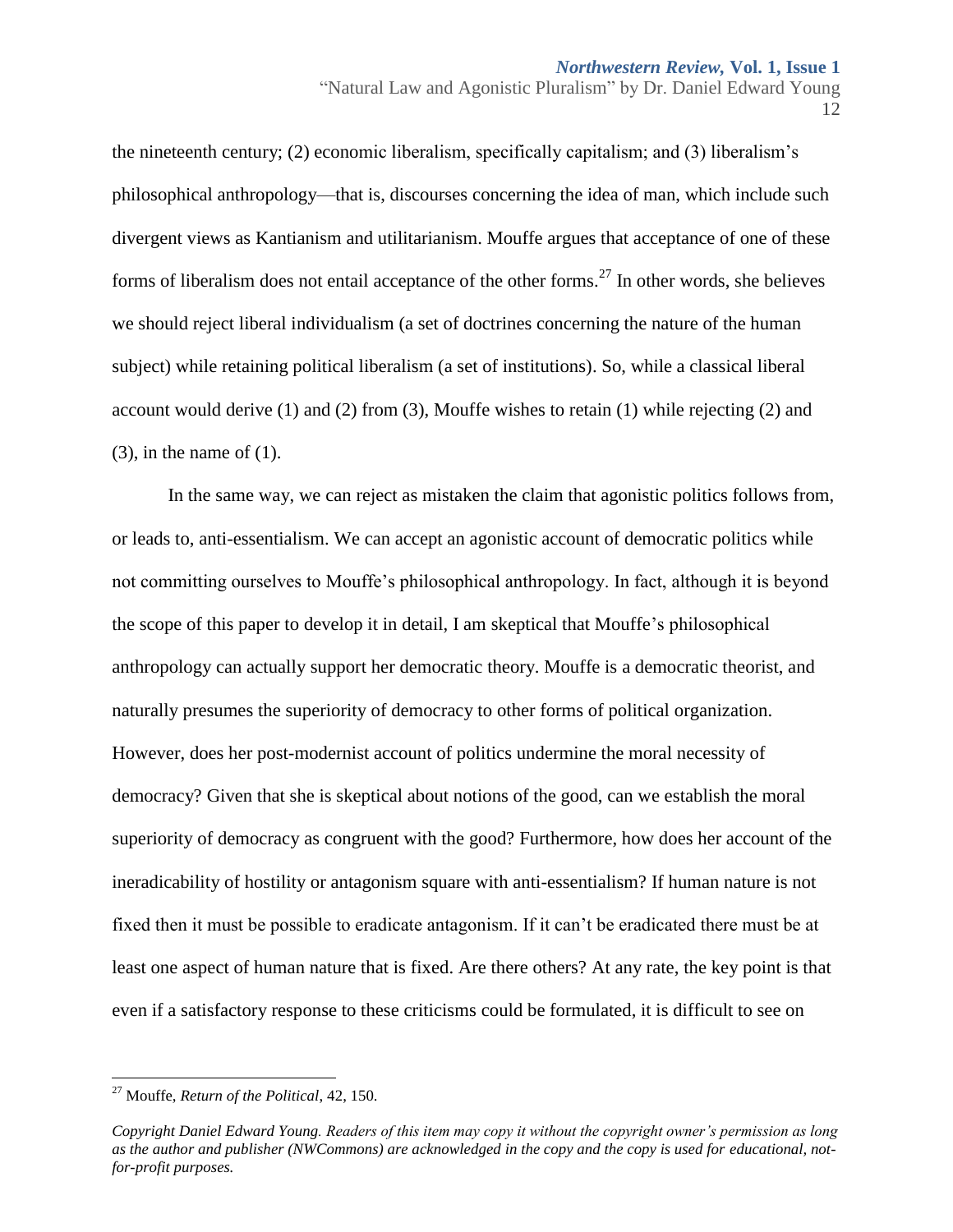the nineteenth century; (2) economic liberalism, specifically capitalism; and (3) liberalism's philosophical anthropology—that is, discourses concerning the idea of man, which include such divergent views as Kantianism and utilitarianism. Mouffe argues that acceptance of one of these forms of liberalism does not entail acceptance of the other forms.<sup>27</sup> In other words, she believes we should reject liberal individualism (a set of doctrines concerning the nature of the human subject) while retaining political liberalism (a set of institutions). So, while a classical liberal account would derive (1) and (2) from (3), Mouffe wishes to retain (1) while rejecting (2) and  $(3)$ , in the name of  $(1)$ .

In the same way, we can reject as mistaken the claim that agonistic politics follows from, or leads to, anti-essentialism. We can accept an agonistic account of democratic politics while not committing ourselves to Mouffe's philosophical anthropology. In fact, although it is beyond the scope of this paper to develop it in detail, I am skeptical that Mouffe's philosophical anthropology can actually support her democratic theory. Mouffe is a democratic theorist, and naturally presumes the superiority of democracy to other forms of political organization. However, does her post-modernist account of politics undermine the moral necessity of democracy? Given that she is skeptical about notions of the good, can we establish the moral superiority of democracy as congruent with the good? Furthermore, how does her account of the ineradicability of hostility or antagonism square with anti-essentialism? If human nature is not fixed then it must be possible to eradicate antagonism. If it can't be eradicated there must be at least one aspect of human nature that is fixed. Are there others? At any rate, the key point is that even if a satisfactory response to these criticisms could be formulated, it is difficult to see on

 $\overline{a}$ <sup>27</sup> Mouffe, *Return of the Political*, 42, 150.

*Copyright Daniel Edward Young. Readers of this item may copy it without the copyright owner's permission as long as the author and publisher (NWCommons) are acknowledged in the copy and the copy is used for educational, notfor-profit purposes.*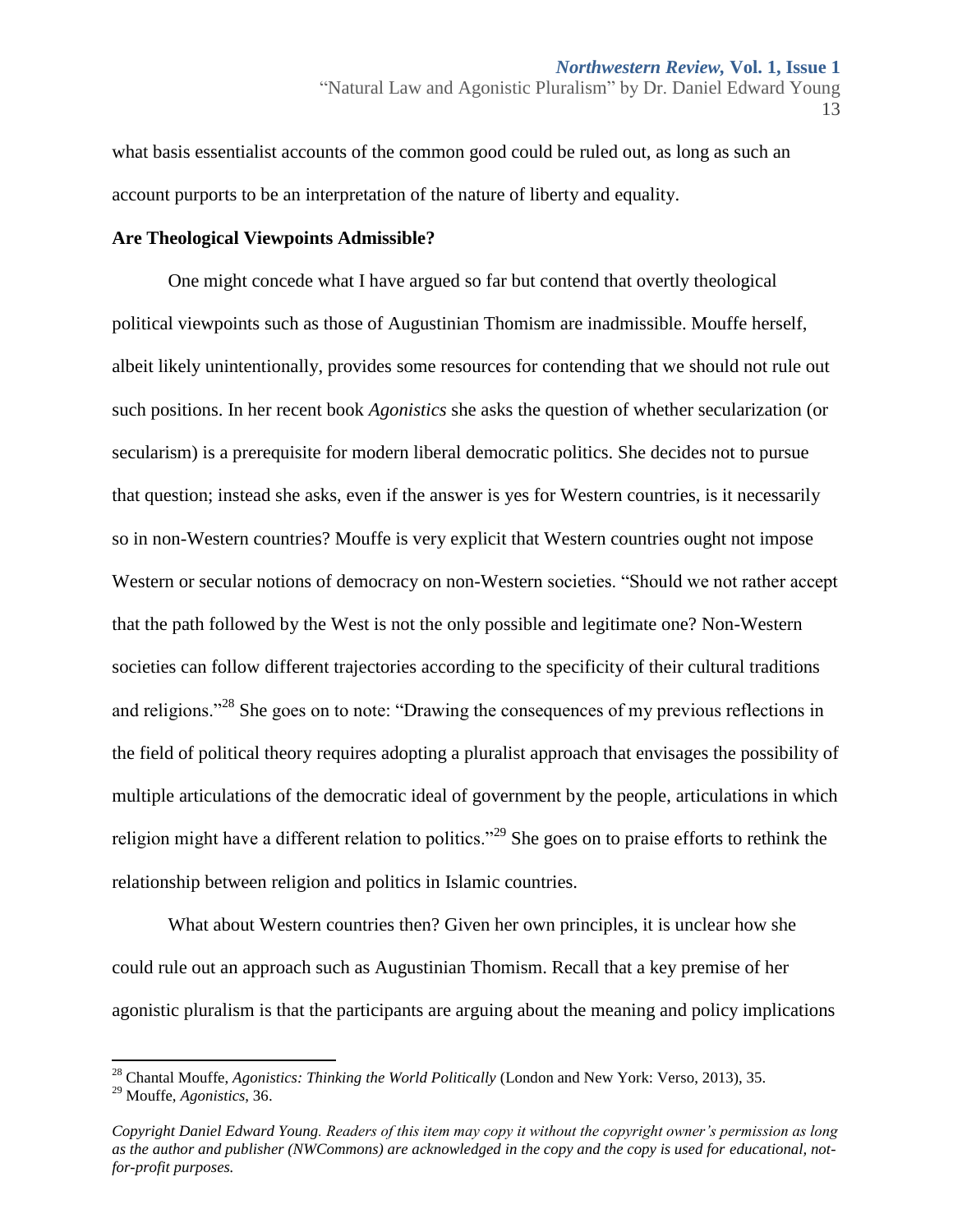what basis essentialist accounts of the common good could be ruled out, as long as such an account purports to be an interpretation of the nature of liberty and equality.

#### **Are Theological Viewpoints Admissible?**

One might concede what I have argued so far but contend that overtly theological political viewpoints such as those of Augustinian Thomism are inadmissible. Mouffe herself, albeit likely unintentionally, provides some resources for contending that we should not rule out such positions. In her recent book *Agonistics* she asks the question of whether secularization (or secularism) is a prerequisite for modern liberal democratic politics. She decides not to pursue that question; instead she asks, even if the answer is yes for Western countries, is it necessarily so in non-Western countries? Mouffe is very explicit that Western countries ought not impose Western or secular notions of democracy on non-Western societies. "Should we not rather accept that the path followed by the West is not the only possible and legitimate one? Non-Western societies can follow different trajectories according to the specificity of their cultural traditions and religions."<sup>28</sup> She goes on to note: "Drawing the consequences of my previous reflections in the field of political theory requires adopting a pluralist approach that envisages the possibility of multiple articulations of the democratic ideal of government by the people, articulations in which religion might have a different relation to politics."<sup>29</sup> She goes on to praise efforts to rethink the relationship between religion and politics in Islamic countries.

What about Western countries then? Given her own principles, it is unclear how she could rule out an approach such as Augustinian Thomism. Recall that a key premise of her agonistic pluralism is that the participants are arguing about the meaning and policy implications

l

<sup>&</sup>quot;Natural Law and Agonistic Pluralism" by Dr. Daniel Edward Young 13

<sup>28</sup> Chantal Mouffe, *Agonistics: Thinking the World Politically* (London and New York: Verso, 2013), 35.

<sup>29</sup> Mouffe, *Agonistics*, 36.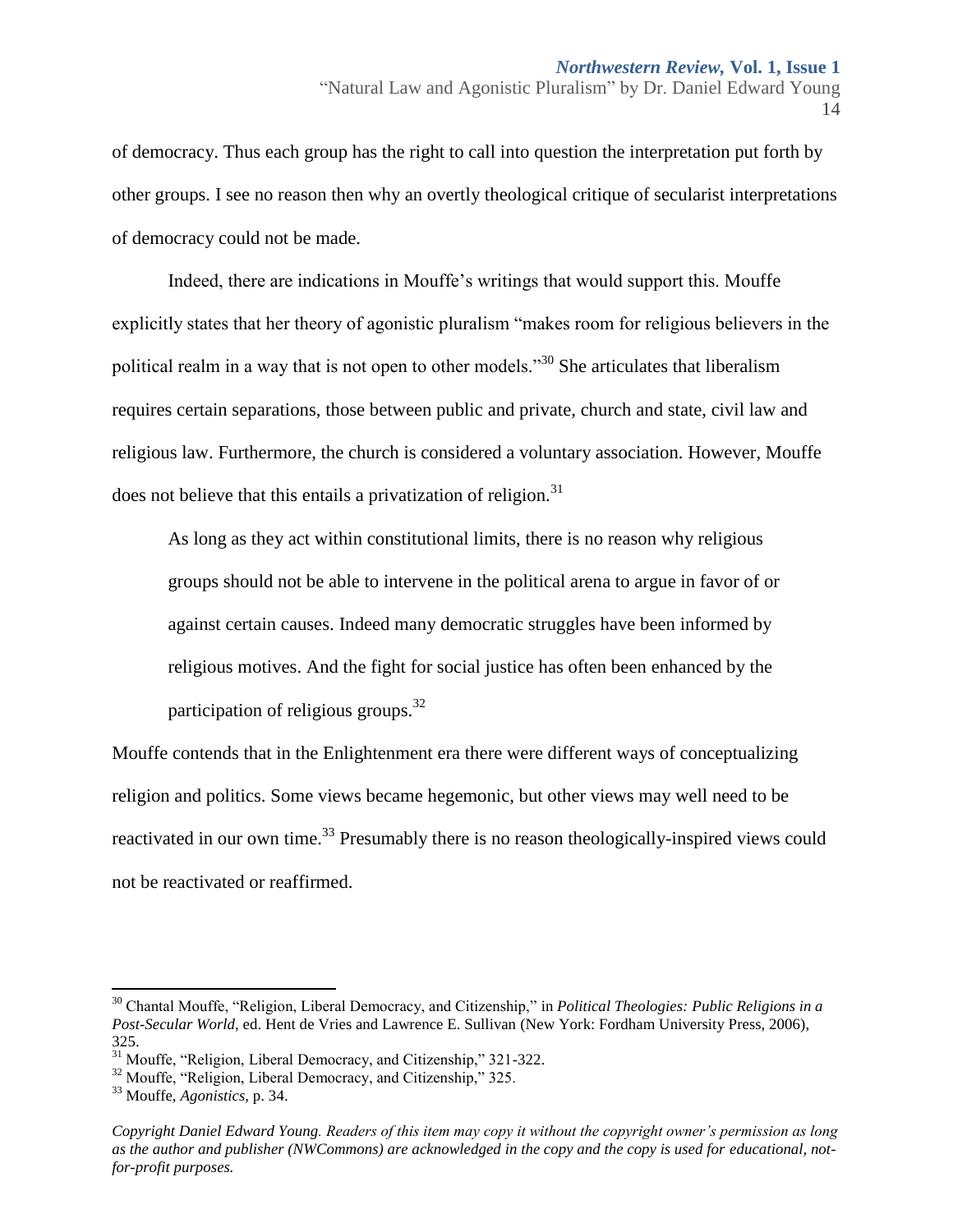of democracy. Thus each group has the right to call into question the interpretation put forth by other groups. I see no reason then why an overtly theological critique of secularist interpretations of democracy could not be made.

Indeed, there are indications in Mouffe's writings that would support this. Mouffe explicitly states that her theory of agonistic pluralism "makes room for religious believers in the political realm in a way that is not open to other models."<sup>30</sup> She articulates that liberalism requires certain separations, those between public and private, church and state, civil law and religious law. Furthermore, the church is considered a voluntary association. However, Mouffe does not believe that this entails a privatization of religion.<sup>31</sup>

As long as they act within constitutional limits, there is no reason why religious groups should not be able to intervene in the political arena to argue in favor of or against certain causes. Indeed many democratic struggles have been informed by religious motives. And the fight for social justice has often been enhanced by the participation of religious groups.<sup>32</sup>

Mouffe contends that in the Enlightenment era there were different ways of conceptualizing religion and politics. Some views became hegemonic, but other views may well need to be reactivated in our own time.<sup>33</sup> Presumably there is no reason theologically-inspired views could not be reactivated or reaffirmed.

 $\overline{\phantom{a}}$ 

<sup>14</sup>

<sup>30</sup> Chantal Mouffe, "Religion, Liberal Democracy, and Citizenship," in *Political Theologies: Public Religions in a Post-Secular World,* ed. Hent de Vries and Lawrence E. Sullivan (New York: Fordham University Press, 2006), 325.

<sup>&</sup>lt;sup>31</sup> Mouffe, "Religion, Liberal Democracy, and Citizenship," 321-322.

<sup>&</sup>lt;sup>32</sup> Mouffe, "Religion, Liberal Democracy, and Citizenship," 325.

<sup>33</sup> Mouffe, *Agonistics*, p. 34.

*Copyright Daniel Edward Young. Readers of this item may copy it without the copyright owner's permission as long as the author and publisher (NWCommons) are acknowledged in the copy and the copy is used for educational, notfor-profit purposes.*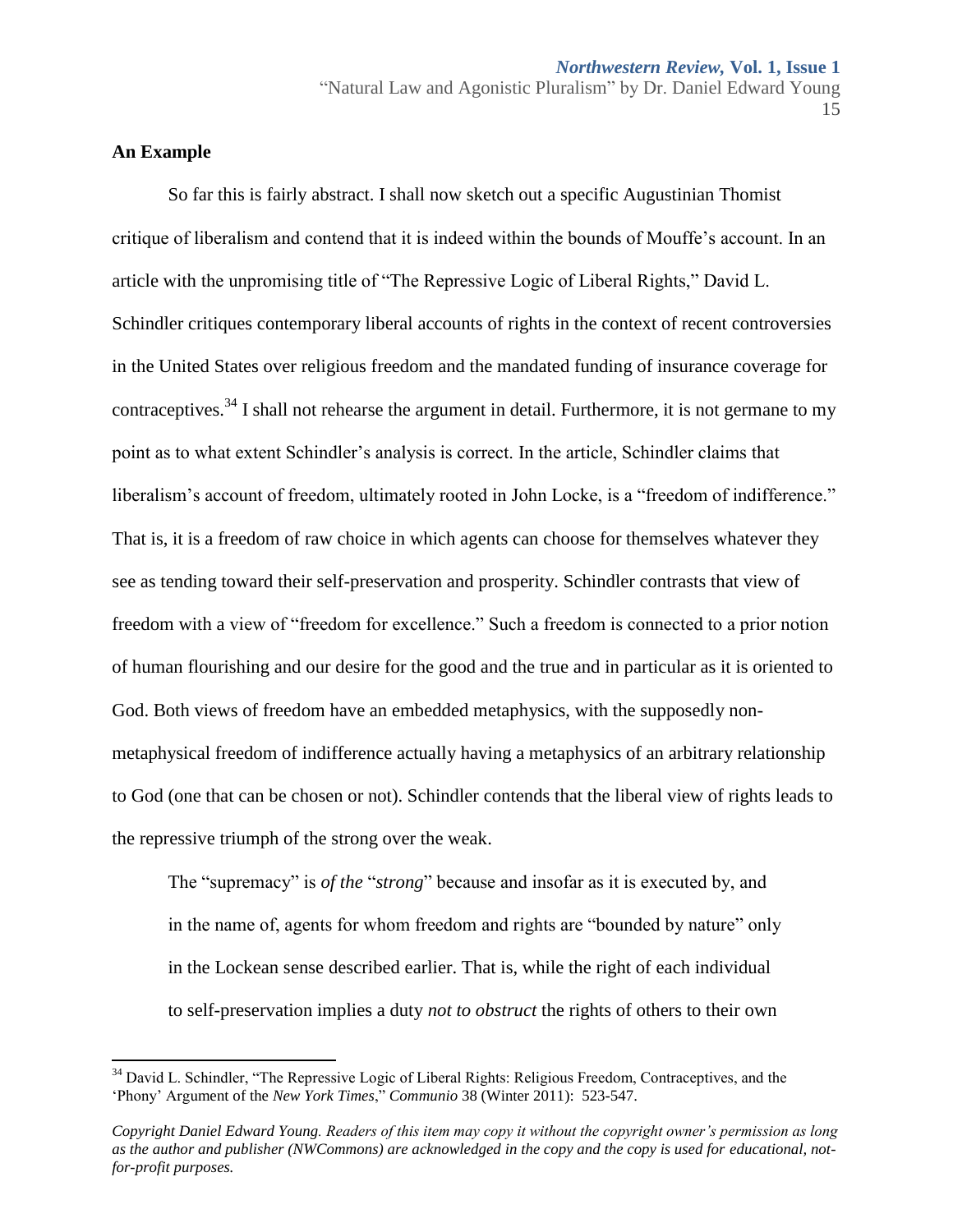## **An Example**

l

So far this is fairly abstract. I shall now sketch out a specific Augustinian Thomist critique of liberalism and contend that it is indeed within the bounds of Mouffe's account. In an article with the unpromising title of "The Repressive Logic of Liberal Rights," David L. Schindler critiques contemporary liberal accounts of rights in the context of recent controversies in the United States over religious freedom and the mandated funding of insurance coverage for contraceptives.<sup>34</sup> I shall not rehearse the argument in detail. Furthermore, it is not germane to my point as to what extent Schindler's analysis is correct. In the article, Schindler claims that liberalism's account of freedom, ultimately rooted in John Locke, is a "freedom of indifference." That is, it is a freedom of raw choice in which agents can choose for themselves whatever they see as tending toward their self-preservation and prosperity. Schindler contrasts that view of freedom with a view of "freedom for excellence." Such a freedom is connected to a prior notion of human flourishing and our desire for the good and the true and in particular as it is oriented to God. Both views of freedom have an embedded metaphysics, with the supposedly nonmetaphysical freedom of indifference actually having a metaphysics of an arbitrary relationship to God (one that can be chosen or not). Schindler contends that the liberal view of rights leads to the repressive triumph of the strong over the weak.

The "supremacy" is *of the* "*strong*" because and insofar as it is executed by, and in the name of, agents for whom freedom and rights are "bounded by nature" only in the Lockean sense described earlier. That is, while the right of each individual to self-preservation implies a duty *not to obstruct* the rights of others to their own

<sup>&</sup>lt;sup>34</sup> David L. Schindler, "The Repressive Logic of Liberal Rights: Religious Freedom, Contraceptives, and the 'Phony' Argument of the *New York Times*," *Communio* 38 (Winter 2011): 523-547.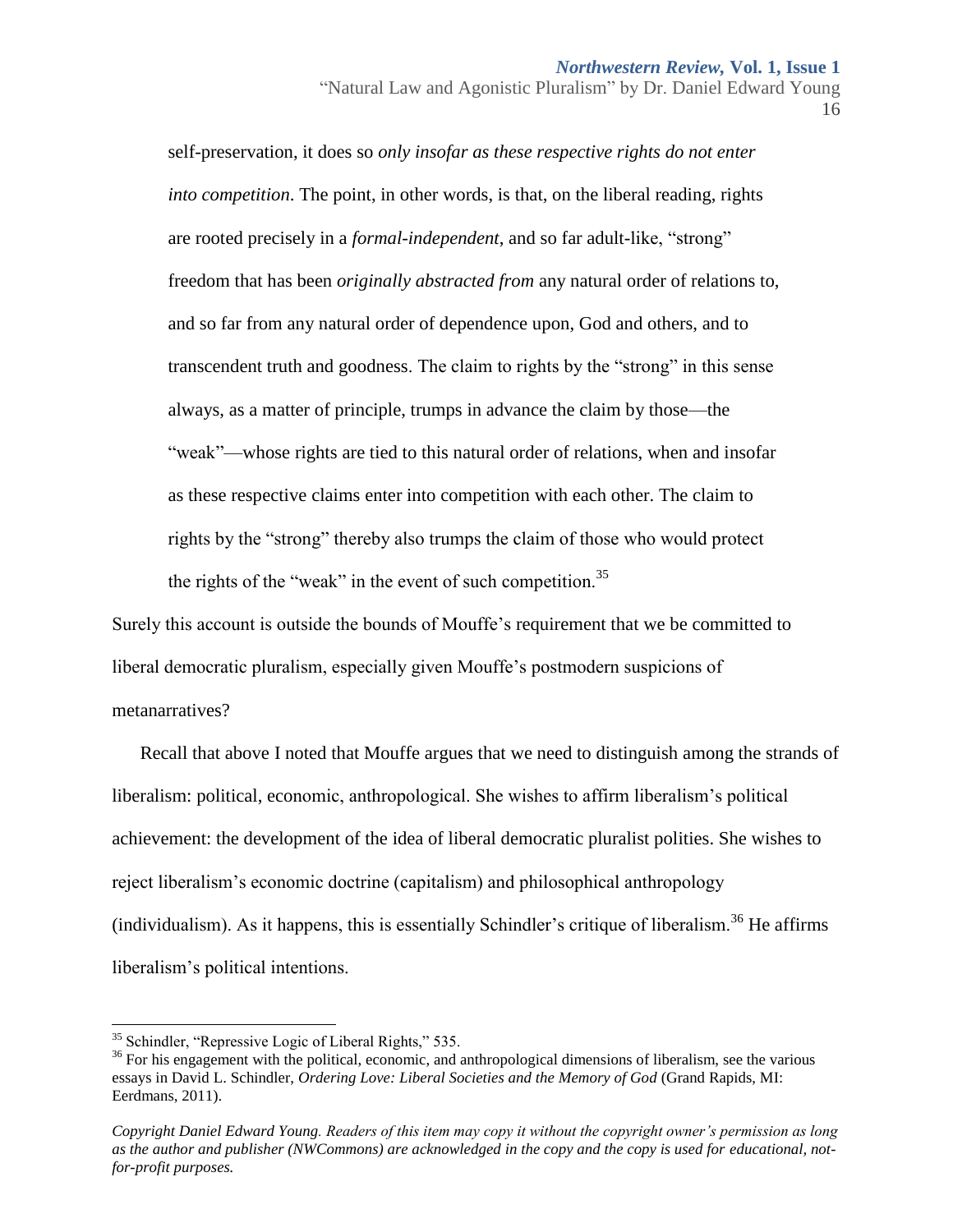"Natural Law and Agonistic Pluralism" by Dr. Daniel Edward Young 16

self-preservation, it does so *only insofar as these respective rights do not enter into competition*. The point, in other words, is that, on the liberal reading, rights are rooted precisely in a *formal-independent*, and so far adult-like, "strong" freedom that has been *originally abstracted from* any natural order of relations to, and so far from any natural order of dependence upon, God and others, and to transcendent truth and goodness. The claim to rights by the "strong" in this sense always, as a matter of principle, trumps in advance the claim by those—the "weak"—whose rights are tied to this natural order of relations, when and insofar as these respective claims enter into competition with each other. The claim to rights by the "strong" thereby also trumps the claim of those who would protect the rights of the "weak" in the event of such competition.<sup>35</sup>

Surely this account is outside the bounds of Mouffe's requirement that we be committed to liberal democratic pluralism, especially given Mouffe's postmodern suspicions of metanarratives?

Recall that above I noted that Mouffe argues that we need to distinguish among the strands of liberalism: political, economic, anthropological. She wishes to affirm liberalism's political achievement: the development of the idea of liberal democratic pluralist polities. She wishes to reject liberalism's economic doctrine (capitalism) and philosophical anthropology (individualism). As it happens, this is essentially Schindler's critique of liberalism.<sup>36</sup> He affirms liberalism's political intentions.

 $\overline{a}$ 

<sup>35</sup> Schindler, "Repressive Logic of Liberal Rights," 535.

 $36$  For his engagement with the political, economic, and anthropological dimensions of liberalism, see the various essays in David L. Schindler, *Ordering Love: Liberal Societies and the Memory of God* (Grand Rapids, MI: Eerdmans, 2011).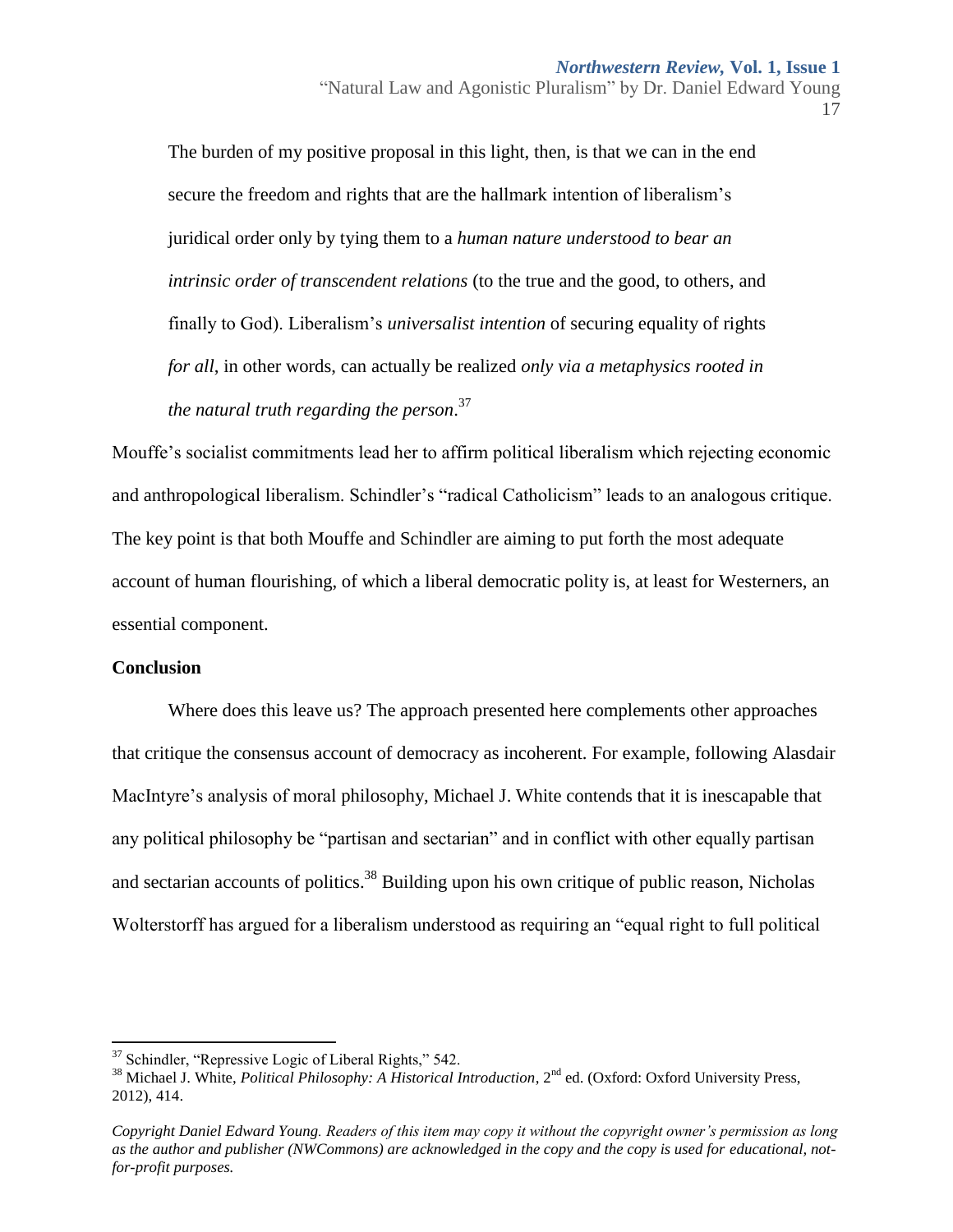"Natural Law and Agonistic Pluralism" by Dr. Daniel Edward Young 17

The burden of my positive proposal in this light, then, is that we can in the end secure the freedom and rights that are the hallmark intention of liberalism's juridical order only by tying them to a *human nature understood to bear an intrinsic order of transcendent relations* (to the true and the good, to others, and finally to God). Liberalism's *universalist intention* of securing equality of rights *for all*, in other words, can actually be realized *only via a metaphysics rooted in the natural truth regarding the person*. 37

Mouffe's socialist commitments lead her to affirm political liberalism which rejecting economic and anthropological liberalism. Schindler's "radical Catholicism" leads to an analogous critique. The key point is that both Mouffe and Schindler are aiming to put forth the most adequate account of human flourishing, of which a liberal democratic polity is, at least for Westerners, an essential component.

## **Conclusion**

 $\overline{\phantom{a}}$ 

Where does this leave us? The approach presented here complements other approaches that critique the consensus account of democracy as incoherent. For example, following Alasdair MacIntyre's analysis of moral philosophy, Michael J. White contends that it is inescapable that any political philosophy be "partisan and sectarian" and in conflict with other equally partisan and sectarian accounts of politics.<sup>38</sup> Building upon his own critique of public reason, Nicholas Wolterstorff has argued for a liberalism understood as requiring an "equal right to full political

 $37$  Schindler, "Repressive Logic of Liberal Rights," 542.

<sup>38</sup> Michael J. White, *Political Philosophy: A Historical Introduction*, 2nd ed. (Oxford: Oxford University Press, 2012), 414.